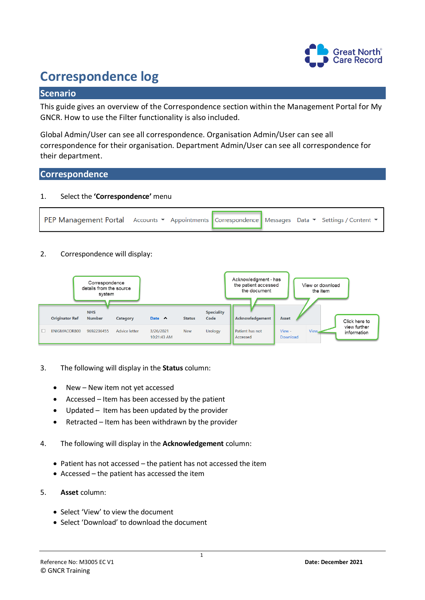

# **Correspondence log**

## **Scenario**

This guide gives an overview of the Correspondence section within the Management Portal for My GNCR. How to use the Filter functionality is also included.

Global Admin/User can see all correspondence. Organisation Admin/User can see all correspondence for their organisation. Department Admin/User can see all correspondence for their department.

### **Correspondence**

#### 1. Select the **'Correspondence'** menu



#### 2. Correspondence will display:

| Correspondence<br>details from the source<br>system |                       |                             |               |                          |               |                           | Acknowledgment - has<br>the patient accessed<br>the document |                    | View or download<br>the item |                             |  |
|-----------------------------------------------------|-----------------------|-----------------------------|---------------|--------------------------|---------------|---------------------------|--------------------------------------------------------------|--------------------|------------------------------|-----------------------------|--|
|                                                     | <b>Originator Ref</b> | <b>NHS</b><br><b>Number</b> | Category      | Date $\land$             | <b>Status</b> | <b>Speciality</b><br>Code | Acknowledgement                                              | Asset              |                              | Click here to               |  |
|                                                     | <b>FNIGMACOR800</b>   | 9692236455                  | Advice letter | 3/26/2021<br>10:21:43 AM | <b>New</b>    | Urology                   | Patient has not<br>Accessed                                  | View -<br>Download | View.                        | view further<br>information |  |

- 3. The following will display in the **Status** column:
	- New New item not yet accessed
	- Accessed Item has been accessed by the patient
	- Updated Item has been updated by the provider
	- Retracted Item has been withdrawn by the provider
- 4. The following will display in the **Acknowledgement** column:
	- Patient has not accessed the patient has not accessed the item
	- Accessed the patient has accessed the item
- 5. **Asset** column:
	- Select 'View' to view the document
	- Select 'Download' to download the document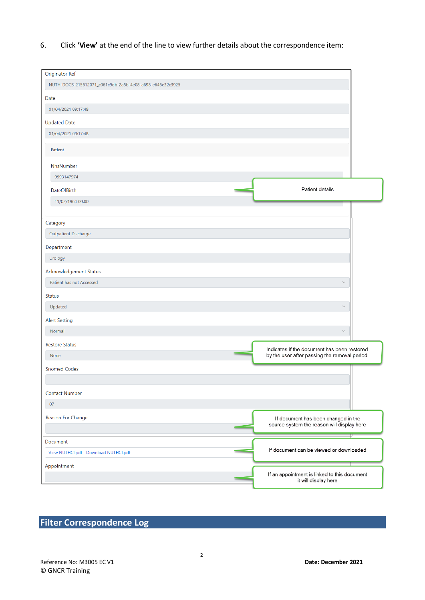6. Click **'View'** at the end of the line to view further details about the correspondence item:

| NUTH-DOCS-215612071_c061c9db-2a5b-4e08-a698-e646e32c3925<br>Date<br>01/04/2021 09:17:48<br><b>Updated Date</b><br>01/04/2021 09:17:48<br>Patient<br>NhsNumber<br>9993147974<br>Patient details<br><b>DateOfBirth</b><br>11/02/1964 00:00<br>Category<br>Outpatient Discharge<br>Department<br>Urology<br>Acknowledgement Status<br>Patient has not Accessed<br>$\checkmark$<br><b>Status</b><br>Updated<br>$\checkmark$<br><b>Alert Setting</b><br>$\checkmark$<br>Normal<br><b>Restore Status</b><br>Indicates if the document has been restored<br>by the user after passing the removal period<br>None<br><b>Snomed Codes</b><br><b>Contact Number</b><br>07<br>Reason For Change<br>If document has been changed in the<br>source system the reason will display here<br>Document<br>If document can be viewed or downloaded<br>View NUTHCI.pdf - Download NUTHCI.pdf<br>Appointment<br>If an appointment is linked to this document<br>it will display here | <b>Originator Ref</b> |  |
|------------------------------------------------------------------------------------------------------------------------------------------------------------------------------------------------------------------------------------------------------------------------------------------------------------------------------------------------------------------------------------------------------------------------------------------------------------------------------------------------------------------------------------------------------------------------------------------------------------------------------------------------------------------------------------------------------------------------------------------------------------------------------------------------------------------------------------------------------------------------------------------------------------------------------------------------------------------|-----------------------|--|
|                                                                                                                                                                                                                                                                                                                                                                                                                                                                                                                                                                                                                                                                                                                                                                                                                                                                                                                                                                  |                       |  |
|                                                                                                                                                                                                                                                                                                                                                                                                                                                                                                                                                                                                                                                                                                                                                                                                                                                                                                                                                                  |                       |  |
|                                                                                                                                                                                                                                                                                                                                                                                                                                                                                                                                                                                                                                                                                                                                                                                                                                                                                                                                                                  |                       |  |
|                                                                                                                                                                                                                                                                                                                                                                                                                                                                                                                                                                                                                                                                                                                                                                                                                                                                                                                                                                  |                       |  |
|                                                                                                                                                                                                                                                                                                                                                                                                                                                                                                                                                                                                                                                                                                                                                                                                                                                                                                                                                                  |                       |  |
|                                                                                                                                                                                                                                                                                                                                                                                                                                                                                                                                                                                                                                                                                                                                                                                                                                                                                                                                                                  |                       |  |
|                                                                                                                                                                                                                                                                                                                                                                                                                                                                                                                                                                                                                                                                                                                                                                                                                                                                                                                                                                  |                       |  |
|                                                                                                                                                                                                                                                                                                                                                                                                                                                                                                                                                                                                                                                                                                                                                                                                                                                                                                                                                                  |                       |  |
|                                                                                                                                                                                                                                                                                                                                                                                                                                                                                                                                                                                                                                                                                                                                                                                                                                                                                                                                                                  |                       |  |
|                                                                                                                                                                                                                                                                                                                                                                                                                                                                                                                                                                                                                                                                                                                                                                                                                                                                                                                                                                  |                       |  |
|                                                                                                                                                                                                                                                                                                                                                                                                                                                                                                                                                                                                                                                                                                                                                                                                                                                                                                                                                                  |                       |  |
|                                                                                                                                                                                                                                                                                                                                                                                                                                                                                                                                                                                                                                                                                                                                                                                                                                                                                                                                                                  |                       |  |
|                                                                                                                                                                                                                                                                                                                                                                                                                                                                                                                                                                                                                                                                                                                                                                                                                                                                                                                                                                  |                       |  |
|                                                                                                                                                                                                                                                                                                                                                                                                                                                                                                                                                                                                                                                                                                                                                                                                                                                                                                                                                                  |                       |  |
|                                                                                                                                                                                                                                                                                                                                                                                                                                                                                                                                                                                                                                                                                                                                                                                                                                                                                                                                                                  |                       |  |
|                                                                                                                                                                                                                                                                                                                                                                                                                                                                                                                                                                                                                                                                                                                                                                                                                                                                                                                                                                  |                       |  |
|                                                                                                                                                                                                                                                                                                                                                                                                                                                                                                                                                                                                                                                                                                                                                                                                                                                                                                                                                                  |                       |  |
|                                                                                                                                                                                                                                                                                                                                                                                                                                                                                                                                                                                                                                                                                                                                                                                                                                                                                                                                                                  |                       |  |
|                                                                                                                                                                                                                                                                                                                                                                                                                                                                                                                                                                                                                                                                                                                                                                                                                                                                                                                                                                  |                       |  |
|                                                                                                                                                                                                                                                                                                                                                                                                                                                                                                                                                                                                                                                                                                                                                                                                                                                                                                                                                                  |                       |  |
|                                                                                                                                                                                                                                                                                                                                                                                                                                                                                                                                                                                                                                                                                                                                                                                                                                                                                                                                                                  |                       |  |
|                                                                                                                                                                                                                                                                                                                                                                                                                                                                                                                                                                                                                                                                                                                                                                                                                                                                                                                                                                  |                       |  |
|                                                                                                                                                                                                                                                                                                                                                                                                                                                                                                                                                                                                                                                                                                                                                                                                                                                                                                                                                                  |                       |  |
|                                                                                                                                                                                                                                                                                                                                                                                                                                                                                                                                                                                                                                                                                                                                                                                                                                                                                                                                                                  |                       |  |
|                                                                                                                                                                                                                                                                                                                                                                                                                                                                                                                                                                                                                                                                                                                                                                                                                                                                                                                                                                  |                       |  |
|                                                                                                                                                                                                                                                                                                                                                                                                                                                                                                                                                                                                                                                                                                                                                                                                                                                                                                                                                                  |                       |  |
|                                                                                                                                                                                                                                                                                                                                                                                                                                                                                                                                                                                                                                                                                                                                                                                                                                                                                                                                                                  |                       |  |
|                                                                                                                                                                                                                                                                                                                                                                                                                                                                                                                                                                                                                                                                                                                                                                                                                                                                                                                                                                  |                       |  |
|                                                                                                                                                                                                                                                                                                                                                                                                                                                                                                                                                                                                                                                                                                                                                                                                                                                                                                                                                                  |                       |  |
|                                                                                                                                                                                                                                                                                                                                                                                                                                                                                                                                                                                                                                                                                                                                                                                                                                                                                                                                                                  |                       |  |
|                                                                                                                                                                                                                                                                                                                                                                                                                                                                                                                                                                                                                                                                                                                                                                                                                                                                                                                                                                  |                       |  |
|                                                                                                                                                                                                                                                                                                                                                                                                                                                                                                                                                                                                                                                                                                                                                                                                                                                                                                                                                                  |                       |  |
|                                                                                                                                                                                                                                                                                                                                                                                                                                                                                                                                                                                                                                                                                                                                                                                                                                                                                                                                                                  |                       |  |

# **Filter Correspondence Log**